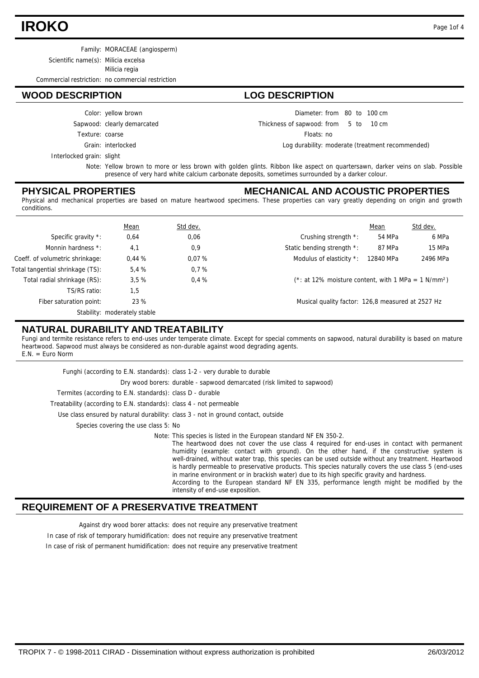# **IROKO** Page 1of 4

Family: MORACEAE (angiosperm)

Scientific name(s): Milicia excelsa

Milicia regia

Commercial restriction: no commercial restriction

## **WOOD DESCRIPTION LOG DESCRIPTION**

Color: yellow brown

- Sapwood: clearly demarcated
- Texture: coarse
	-

#### Grain: interlocked

Diameter: from 80 to 100 cm

5 10 Thickness of sapwood:  $10 \text{ cm}$ 

Floats: no

Log durability: moderate (treatment recommended)

Interlocked grain: slight

Note: Yellow brown to more or less brown with golden glints. Ribbon like aspect on quartersawn, darker veins on slab. Possible presence of very hard white calcium carbonate deposits, sometimes surrounded by a darker colour.

## **PHYSICAL PROPERTIES**

### **MECHANICAL AND ACOUSTIC PROPERTIES**

Physical and mechanical properties are based on mature heartwood specimens. These properties can vary greatly depending on origin and growth conditions.

|                                  | Mean                         | Std dev. |                                                                    | Mean      | Std dev. |
|----------------------------------|------------------------------|----------|--------------------------------------------------------------------|-----------|----------|
| Specific gravity *:              | 0,64                         | 0,06     | Crushing strength *:                                               | 54 MPa    | 6 MPa    |
| Monnin hardness *:               | 4,1                          | 0,9      | Static bending strength *:                                         | 87 MPa    | 15 MPa   |
| Coeff. of volumetric shrinkage:  | 0.44%                        | 0.07%    | Modulus of elasticity *:                                           | 12840 MPa | 2496 MPa |
| Total tangential shrinkage (TS): | 5.4 %                        | 0.7%     |                                                                    |           |          |
| Total radial shrinkage (RS):     | 3.5%                         | 0.4%     | $(*: at 12\%$ moisture content, with 1 MPa = 1 N/mm <sup>2</sup> ) |           |          |
| TS/RS ratio:                     | 1,5                          |          |                                                                    |           |          |
| Fiber saturation point:          | 23 %                         |          | Musical quality factor: 126,8 measured at 2527 Hz                  |           |          |
|                                  | Stability: moderately stable |          |                                                                    |           |          |

## **NATURAL DURABILITY AND TREATABILITY**

Fungi and termite resistance refers to end-uses under temperate climate. Except for special comments on sapwood, natural durability is based on mature heartwood. Sapwood must always be considered as non-durable against wood degrading agents. E.N. = Euro Norm

| Funghi (according to E.N. standards): class 1-2 - very durable to durable |                                                                                                                                                                                                                                                                                                                                                                                                                                                                                                                                                                                                                                                                                                                |
|---------------------------------------------------------------------------|----------------------------------------------------------------------------------------------------------------------------------------------------------------------------------------------------------------------------------------------------------------------------------------------------------------------------------------------------------------------------------------------------------------------------------------------------------------------------------------------------------------------------------------------------------------------------------------------------------------------------------------------------------------------------------------------------------------|
|                                                                           | Dry wood borers: durable - sapwood demarcated (risk limited to sapwood)                                                                                                                                                                                                                                                                                                                                                                                                                                                                                                                                                                                                                                        |
| Termites (according to E.N. standards): class D - durable                 |                                                                                                                                                                                                                                                                                                                                                                                                                                                                                                                                                                                                                                                                                                                |
| Treatability (according to E.N. standards): class 4 - not permeable       |                                                                                                                                                                                                                                                                                                                                                                                                                                                                                                                                                                                                                                                                                                                |
|                                                                           | Use class ensured by natural durability: class 3 - not in ground contact, outside                                                                                                                                                                                                                                                                                                                                                                                                                                                                                                                                                                                                                              |
| Species covering the use class 5: No                                      |                                                                                                                                                                                                                                                                                                                                                                                                                                                                                                                                                                                                                                                                                                                |
|                                                                           | Note: This species is listed in the European standard NF EN 350-2.<br>The heartwood does not cover the use class 4 required for end-uses in contact with permanent<br>humidity (example: contact with ground). On the other hand, if the constructive system is<br>well-drained, without water trap, this species can be used outside without any treatment. Heartwood<br>is hardly permeable to preservative products. This species naturally covers the use class 5 (end-uses<br>in marine environment or in brackish water) due to its high specific gravity and hardness.<br>According to the European standard NF EN 335, performance length might be modified by the<br>intensity of end-use exposition. |

## **REQUIREMENT OF A PRESERVATIVE TREATMENT**

Against dry wood borer attacks: does not require any preservative treatment

In case of risk of temporary humidification: does not require any preservative treatment

In case of risk of permanent humidification: does not require any preservative treatment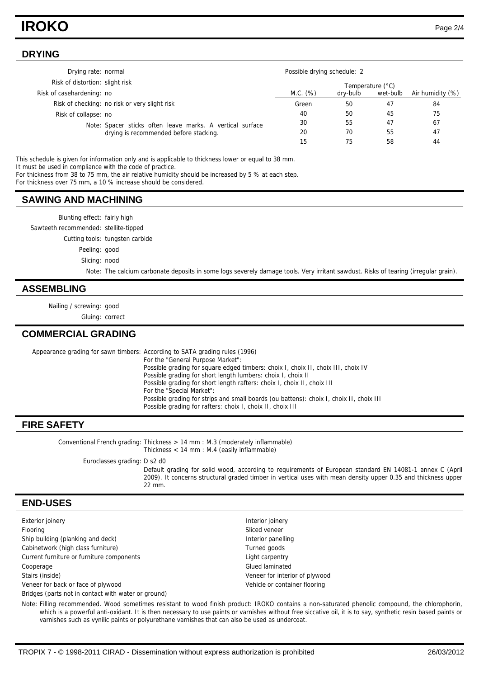# **IROKO** Page 2/4

#### **DRYING**

| Drying rate: normal             |                                                                                                     | Possible drying schedule: 2 |          |          |                  |
|---------------------------------|-----------------------------------------------------------------------------------------------------|-----------------------------|----------|----------|------------------|
| Risk of distortion: slight risk |                                                                                                     | Temperature (°C)            |          |          |                  |
| Risk of casehardening: no       |                                                                                                     | M.C. (%)                    | dry-bulb | wet-bulb | Air humidity (%) |
|                                 | Risk of checking: no risk or very slight risk                                                       | Green                       | 50       | 47       | 84               |
| Risk of collapse: no            |                                                                                                     | 40                          | 50       | 45       | 75               |
|                                 | Note: Spacer sticks often leave marks. A vertical surface<br>drying is recommended before stacking. | 30                          | 55       | 47       | 67               |
|                                 |                                                                                                     | 20                          | 70       | 55       | 47               |
|                                 |                                                                                                     | 15                          | 75       | 58       | 44               |

This schedule is given for information only and is applicable to thickness lower or equal to 38 mm. It must be used in compliance with the code of practice.

For thickness from 38 to 75 mm, the air relative humidity should be increased by 5 % at each step.

For thickness over 75 mm, a 10 % increase should be considered.

#### **SAWING AND MACHINING**

Blunting effect: fairly high

Sawteeth recommended: stellite-tipped

Cutting tools: tungsten carbide

Peeling: good

Slicing: nood

Note: The calcium carbonate deposits in some logs severely damage tools. Very irritant sawdust. Risks of tearing (irregular grain).

#### **ASSEMBLING**

Nailing / screwing: good

Gluing: correct

#### **COMMERCIAL GRADING**

Appearance grading for sawn timbers: According to SATA grading rules (1996) For the "General Purpose Market": Possible grading for square edged timbers: choix I, choix II, choix III, choix IV Possible grading for short length lumbers: choix I, choix II Possible grading for short length rafters: choix I, choix II, choix III For the "Special Market": Possible grading for strips and small boards (ou battens): choix I, choix II, choix III Possible grading for rafters: choix I, choix II, choix III

#### **FIRE SAFETY**

Conventional French grading: Thickness  $> 14$  mm : M.3 (moderately inflammable) Thickness < 14 mm : M.4 (easily inflammable)

Euroclasses grading: D s2 d0

Default grading for solid wood, according to requirements of European standard EN 14081-1 annex C (April 2009). It concerns structural graded timber in vertical uses with mean density upper 0.35 and thickness upper 22 mm.

### **END-USES**

Exterior joinery **Interior interior interior interior interior interior interior interior interior interior interior interior interior interior interior interior interior interior interior interior interior interior interi** Flooring Sliced veneer Ship building (planking and deck) **Interior panelling** Interior panelling Cabinetwork (high class furniture) Turned goods Current furniture or furniture components **Light carpentry** Cooperage Glued laminated Cooperage Glued laminated Stairs (inside) Veneer for interior of plywood Veneer for back or face of plywood Vehicle or container flooring Bridges (parts not in contact with water or ground)

Note: Filling recommended. Wood sometimes resistant to wood finish product: IROKO contains a non-saturated phenolic compound, the chlorophorin, which is a powerful anti-oxidant. It is then necessary to use paints or varnishes without free siccative oil, it is to say, synthetic resin based paints or varnishes such as vynilic paints or polyurethane varnishes that can also be used as undercoat.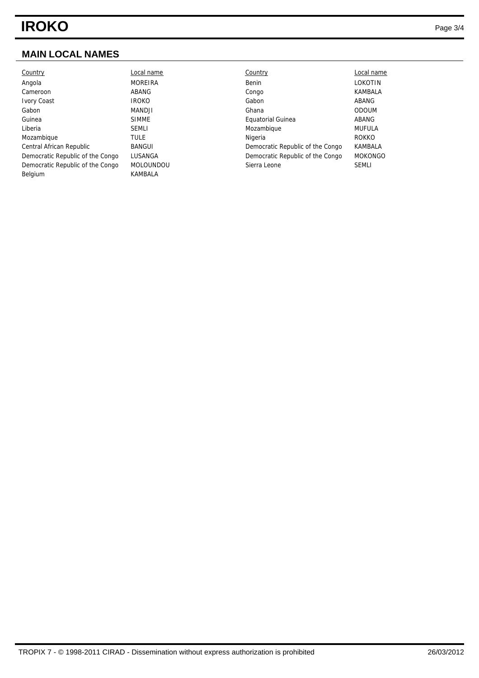## **MAIN LOCAL NAMES**

| Country                          | Local name     | Country                          | Local name     |
|----------------------------------|----------------|----------------------------------|----------------|
| Angola                           | <b>MOREIRA</b> | Benin                            | LOKOTIN        |
| Cameroon                         | ABANG          | Congo                            | KAMBALA        |
| <b>Ivory Coast</b>               | <b>IROKO</b>   | Gabon                            | ABANG          |
| Gabon                            | MANDJI         | Ghana                            | <b>ODOUM</b>   |
| Guinea                           | <b>SIMME</b>   | <b>Equatorial Guinea</b>         | ABANG          |
| Liberia                          | <b>SEMLI</b>   | Mozambique                       | <b>MUFULA</b>  |
| Mozambique                       | TULE           | Nigeria                          | <b>ROKKO</b>   |
| Central African Republic         | BANGUI         | Democratic Republic of the Congo | KAMBALA        |
| Democratic Republic of the Congo | LUSANGA        | Democratic Republic of the Congo | <b>MOKONGO</b> |
| Democratic Republic of the Congo | MOLOUNDOU      | Sierra Leone                     | <b>SEMLI</b>   |
| Belgium                          | KAMBALA        |                                  |                |